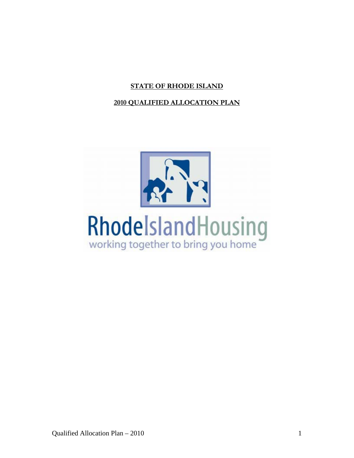# **STATE OF RHODE ISLAND**

# **2010 QUALIFIED ALLOCATION PLAN**

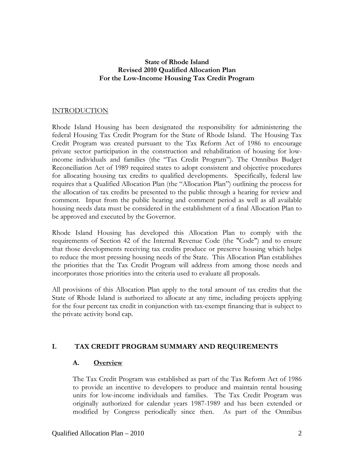### **State of Rhode Island Revised 2010 Qualified Allocation Plan For the Low-Income Housing Tax Credit Program**

# INTRODUCTION

Rhode Island Housing has been designated the responsibility for administering the federal Housing Tax Credit Program for the State of Rhode Island. The Housing Tax Credit Program was created pursuant to the Tax Reform Act of 1986 to encourage private sector participation in the construction and rehabilitation of housing for lowincome individuals and families (the "Tax Credit Program"). The Omnibus Budget Reconciliation Act of 1989 required states to adopt consistent and objective procedures for allocating housing tax credits to qualified developments. Specifically, federal law requires that a Qualified Allocation Plan (the "Allocation Plan") outlining the process for the allocation of tax credits be presented to the public through a hearing for review and comment. Input from the public hearing and comment period as well as all available housing needs data must be considered in the establishment of a final Allocation Plan to be approved and executed by the Governor.

Rhode Island Housing has developed this Allocation Plan to comply with the requirements of Section 42 of the Internal Revenue Code (the "Code") and to ensure that those developments receiving tax credits produce or preserve housing which helps to reduce the most pressing housing needs of the State. This Allocation Plan establishes the priorities that the Tax Credit Program will address from among those needs and incorporates those priorities into the criteria used to evaluate all proposals.

All provisions of this Allocation Plan apply to the total amount of tax credits that the State of Rhode Island is authorized to allocate at any time, including projects applying for the four percent tax credit in conjunction with tax-exempt financing that is subject to the private activity bond cap.

### **I. TAX CREDIT PROGRAM SUMMARY AND REQUIREMENTS**

### **A. Overview**

The Tax Credit Program was established as part of the Tax Reform Act of 1986 to provide an incentive to developers to produce and maintain rental housing units for low-income individuals and families. The Tax Credit Program was originally authorized for calendar years 1987-1989 and has been extended or modified by Congress periodically since then. As part of the Omnibus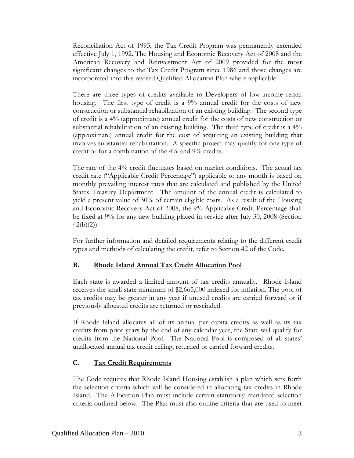Reconciliation Act of 1993, the Tax Credit Program was permanently extended effective July 1, 1992. The Housing and Economic Recovery Act of 2008 and the American Recovery and Reinvestment Act of 2009 provided for the most significant changes to the Tax Credit Program since 1986 and those changes are incorporated into this revised Qualified Allocation Plan where applicable.

There are three types of credits available to Developers of low-income rental housing. The first type of credit is a 9% annual credit for the costs of new construction or substantial rehabilitation of an existing building. The second type of credit is a 4% (approximate) annual credit for the costs of new construction or substantial rehabilitation of an existing building. The third type of credit is a 4% (approximate) annual credit for the cost of acquiring an existing building that involves substantial rehabilitation. A specific project may qualify for one type of credit or for a combination of the 4% and 9% credits.

The rate of the 4% credit fluctuates based on market conditions. The actual tax credit rate ("Applicable Credit Percentage") applicable to any month is based on monthly prevailing interest rates that are calculated and published by the United States Treasury Department. The amount of the annual credit is calculated to yield a present value of 30% of certain eligible costs. As a result of the Housing and Economic Recovery Act of 2008, the 9% Applicable Credit Percentage shall be fixed at 9% for any new building placed in service after July 30, 2008 (Section  $42(b)(2)$ ).

For further information and detailed requirements relating to the different credit types and methods of calculating the credit, refer to Section 42 of the Code.

### **B. Rhode Island Annual Tax Credit Allocation Pool**

Each state is awarded a limited amount of tax credits annually. Rhode Island receives the small state minimum of \$2,665,000 indexed for inflation. The pool of tax credits may be greater in any year if unused credits are carried forward or if previously allocated credits are returned or rescinded.

If Rhode Island allocates all of its annual per capita credits as well as its tax credits from prior years by the end of any calendar year, the State will qualify for credits from the National Pool. The National Pool is composed of all states' unallocated annual tax credit ceiling, returned or carried forward credits.

# **C. Tax Credit Requirements**

The Code requires that Rhode Island Housing establish a plan which sets forth the selection criteria which will be considered in allocating tax credits in Rhode Island. The Allocation Plan must include certain statutorily mandated selection criteria outlined below. The Plan must also outline criteria that are used to meet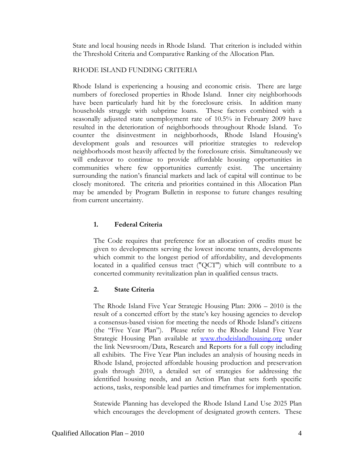State and local housing needs in Rhode Island. That criterion is included within the Threshold Criteria and Comparative Ranking of the Allocation Plan.

#### RHODE ISLAND FUNDING CRITERIA

Rhode Island is experiencing a housing and economic crisis. There are large numbers of foreclosed properties in Rhode Island. Inner city neighborhoods have been particularly hard hit by the foreclosure crisis. In addition many households struggle with subprime loans. These factors combined with a seasonally adjusted state unemployment rate of 10.5% in February 2009 have resulted in the deterioration of neighborhoods throughout Rhode Island. To counter the disinvestment in neighborhoods, Rhode Island Housing's development goals and resources will prioritize strategies to redevelop neighborhoods most heavily affected by the foreclosure crisis. Simultaneously we will endeavor to continue to provide affordable housing opportunities in communities where few opportunities currently exist. The uncertainty surrounding the nation's financial markets and lack of capital will continue to be closely monitored. The criteria and priorities contained in this Allocation Plan may be amended by Program Bulletin in response to future changes resulting from current uncertainty.

### **1. Federal Criteria**

The Code requires that preference for an allocation of credits must be given to developments serving the lowest income tenants, developments which commit to the longest period of affordability, and developments located in a qualified census tract ("QCT") which will contribute to a concerted community revitalization plan in qualified census tracts.

### **2. State Criteria**

The Rhode Island Five Year Strategic Housing Plan: 2006 – 2010 is the result of a concerted effort by the state's key housing agencies to develop a consensus-based vision for meeting the needs of Rhode Island's citizens (the "Five Year Plan"). Please refer to the Rhode Island Five Year Strategic Housing Plan available at [www.rhodeislandhousing.org](http://www.rhodeislandhousing.org/) under the link Newsroom/Data, Research and Reports for a full copy including all exhibits. The Five Year Plan includes an analysis of housing needs in Rhode Island, projected affordable housing production and preservation goals through 2010, a detailed set of strategies for addressing the identified housing needs, and an Action Plan that sets forth specific actions, tasks, responsible lead parties and timeframes for implementation.

Statewide Planning has developed the Rhode Island Land Use 2025 Plan which encourages the development of designated growth centers. These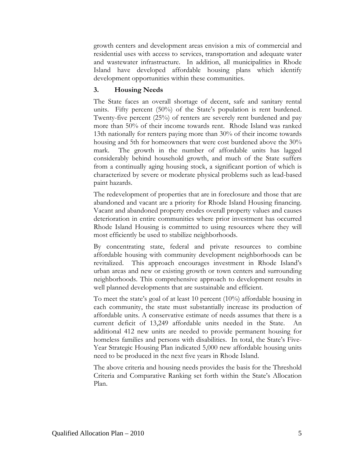growth centers and development areas envision a mix of commercial and residential uses with access to services, transportation and adequate water and wastewater infrastructure. In addition, all municipalities in Rhode Island have developed affordable housing plans which identify development opportunities within these communities.

# **3. Housing Needs**

The State faces an overall shortage of decent, safe and sanitary rental units. Fifty percent (50%) of the State's population is rent burdened. Twenty-five percent (25%) of renters are severely rent burdened and pay more than 50% of their income towards rent. Rhode Island was ranked 13th nationally for renters paying more than 30% of their income towards housing and 5th for homeowners that were cost burdened above the 30% mark. The growth in the number of affordable units has lagged considerably behind household growth, and much of the State suffers from a continually aging housing stock, a significant portion of which is characterized by severe or moderate physical problems such as lead-based paint hazards.

The redevelopment of properties that are in foreclosure and those that are abandoned and vacant are a priority for Rhode Island Housing financing. Vacant and abandoned property erodes overall property values and causes deterioration in entire communities where prior investment has occurred Rhode Island Housing is committed to using resources where they will most efficiently be used to stabilize neighborhoods.

By concentrating state, federal and private resources to combine affordable housing with community development neighborhoods can be revitalized. This approach encourages investment in Rhode Island's urban areas and new or existing growth or town centers and surrounding neighborhoods. This comprehensive approach to development results in well planned developments that are sustainable and efficient.

To meet the state's goal of at least 10 percent (10%) affordable housing in each community, the state must substantially increase its production of affordable units. A conservative estimate of needs assumes that there is a current deficit of 13,249 affordable units needed in the State. An additional 412 new units are needed to provide permanent housing for homeless families and persons with disabilities. In total, the State's Five-Year Strategic Housing Plan indicated 5,000 new affordable housing units need to be produced in the next five years in Rhode Island.

The above criteria and housing needs provides the basis for the Threshold Criteria and Comparative Ranking set forth within the State's Allocation Plan.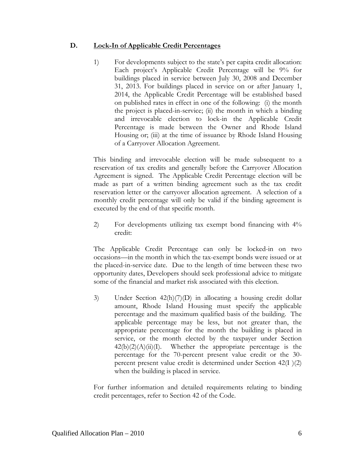### **D. Lock-In of Applicable Credit Percentages**

1) For developments subject to the state's per capita credit allocation: Each project's Applicable Credit Percentage will be 9% for buildings placed in service between July 30, 2008 and December 31, 2013. For buildings placed in service on or after January 1, 2014, the Applicable Credit Percentage will be established based on published rates in effect in one of the following: (i) the month the project is placed-in-service; (ii) the month in which a binding and irrevocable election to lock-in the Applicable Credit Percentage is made between the Owner and Rhode Island Housing or; (iii) at the time of issuance by Rhode Island Housing of a Carryover Allocation Agreement.

This binding and irrevocable election will be made subsequent to a reservation of tax credits and generally before the Carryover Allocation Agreement is signed. The Applicable Credit Percentage election will be made as part of a written binding agreement such as the tax credit reservation letter or the carryover allocation agreement. A selection of a monthly credit percentage will only be valid if the binding agreement is executed by the end of that specific month.

2) For developments utilizing tax exempt bond financing with 4% credit:

The Applicable Credit Percentage can only be locked-in on two occasions—in the month in which the tax-exempt bonds were issued or at the placed-in-service date. Due to the length of time between these two opportunity dates, Developers should seek professional advice to mitigate some of the financial and market risk associated with this election.

3) Under Section 42(h)(7)(D) in allocating a housing credit dollar amount, Rhode Island Housing must specify the applicable percentage and the maximum qualified basis of the building. The applicable percentage may be less, but not greater than, the appropriate percentage for the month the building is placed in service, or the month elected by the taxpayer under Section  $42(b)(2)(A)(ii)(I)$ . Whether the appropriate percentage is the percentage for the 70-percent present value credit or the 30 percent present value credit is determined under Section 42(I )(2) when the building is placed in service.

For further information and detailed requirements relating to binding credit percentages, refer to Section 42 of the Code.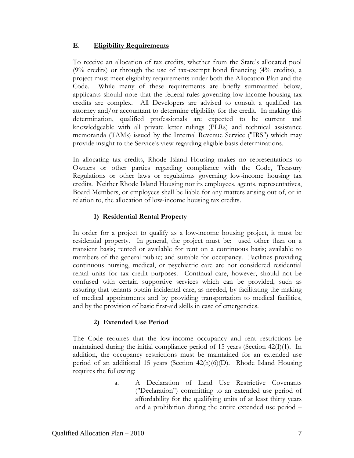### **E. Eligibility Requirements**

To receive an allocation of tax credits, whether from the State's allocated pool (9% credits) or through the use of tax-exempt bond financing (4% credits), a project must meet eligibility requirements under both the Allocation Plan and the Code. While many of these requirements are briefly summarized below, applicants should note that the federal rules governing low-income housing tax credits are complex. All Developers are advised to consult a qualified tax attorney and/or accountant to determine eligibility for the credit. In making this determination, qualified professionals are expected to be current and knowledgeable with all private letter rulings (PLRs) and technical assistance memoranda (TAMs) issued by the Internal Revenue Service ("IRS") which may provide insight to the Service's view regarding eligible basis determinations.

In allocating tax credits, Rhode Island Housing makes no representations to Owners or other parties regarding compliance with the Code, Treasury Regulations or other laws or regulations governing low-income housing tax credits. Neither Rhode Island Housing nor its employees, agents, representatives, Board Members, or employees shall be liable for any matters arising out of, or in relation to, the allocation of low-income housing tax credits.

# **1) Residential Rental Property**

In order for a project to qualify as a low-income housing project, it must be residential property. In general, the project must be: used other than on a transient basis; rented or available for rent on a continuous basis; available to members of the general public; and suitable for occupancy. Facilities providing continuous nursing, medical, or psychiatric care are not considered residential rental units for tax credit purposes. Continual care, however, should not be confused with certain supportive services which can be provided, such as assuring that tenants obtain incidental care, as needed, by facilitating the making of medical appointments and by providing transportation to medical facilities, and by the provision of basic first-aid skills in case of emergencies.

# **2) Extended Use Period**

The Code requires that the low-income occupancy and rent restrictions be maintained during the initial compliance period of 15 years (Section 42(I)(1). In addition, the occupancy restrictions must be maintained for an extended use period of an additional 15 years (Section 42(h)(6)(D). Rhode Island Housing requires the following:

> a. A Declaration of Land Use Restrictive Covenants ("Declaration") committing to an extended use period of affordability for the qualifying units of at least thirty years and a prohibition during the entire extended use period –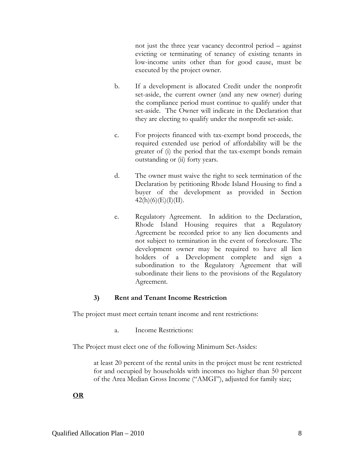not just the three year vacancy decontrol period – against evicting or terminating of tenancy of existing tenants in low-income units other than for good cause, must be executed by the project owner.

- b. If a development is allocated Credit under the nonprofit set-aside, the current owner (and any new owner) during the compliance period must continue to qualify under that set-aside. The Owner will indicate in the Declaration that they are electing to qualify under the nonprofit set-aside.
- c. For projects financed with tax-exempt bond proceeds, the required extended use period of affordability will be the greater of (i) the period that the tax-exempt bonds remain outstanding or (ii) forty years.
- d. The owner must waive the right to seek termination of the Declaration by petitioning Rhode Island Housing to find a buyer of the development as provided in Section  $42(h)(6)(E)(I)(II).$
- e. Regulatory Agreement. In addition to the Declaration, Rhode Island Housing requires that a Regulatory Agreement be recorded prior to any lien documents and not subject to termination in the event of foreclosure. The development owner may be required to have all lien holders of a Development complete and sign a subordination to the Regulatory Agreement that will subordinate their liens to the provisions of the Regulatory Agreement.

# **3) Rent and Tenant Income Restriction**

The project must meet certain tenant income and rent restrictions:

a. Income Restrictions:

The Project must elect one of the following Minimum Set-Asides:

at least 20 percent of the rental units in the project must be rent restricted for and occupied by households with incomes no higher than 50 percent of the Area Median Gross Income ("AMGI"), adjusted for family size;

**OR**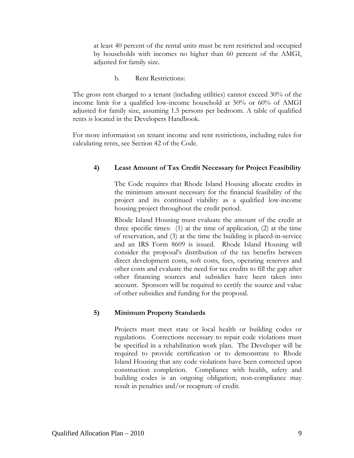at least 40 percent of the rental units must be rent restricted and occupied by households with incomes no higher than 60 percent of the AMGI, adjusted for family size.

b. Rent Restrictions:

The gross rent charged to a tenant (including utilities) cannot exceed 30% of the income limit for a qualified low-income household at 50% or 60% of AMGI adjusted for family size, assuming 1.5 persons per bedroom. A table of qualified rents is located in the Developers Handbook.

For more information on tenant income and rent restrictions, including rules for calculating rents, see Section 42 of the Code.

# **4) Least Amount of Tax Credit Necessary for Project Feasibility**

 The Code requires that Rhode Island Housing allocate credits in the minimum amount necessary for the financial feasibility of the project and its continued viability as a qualified low-income housing project throughout the credit period.

 Rhode Island Housing must evaluate the amount of the credit at three specific times: (1) at the time of application, (2) at the time of reservation, and (3) at the time the building is placed-in-service and an IRS Form 8609 is issued. Rhode Island Housing will consider the proposal's distribution of the tax benefits between direct development costs, soft costs, fees, operating reserves and other costs and evaluate the need for tax credits to fill the gap after other financing sources and subsidies have been taken into account. Sponsors will be required to certify the source and value of other subsidies and funding for the proposal.

### **5) Minimum Property Standards**

Projects must meet state or local health or building codes or regulations. Corrections necessary to repair code violations must be specified in a rehabilitation work plan. The Developer will be required to provide certification or to demonstrate to Rhode Island Housing that any code violations have been corrected upon construction completion. Compliance with health, safety and building codes is an ongoing obligation; non-compliance may result in penalties and/or recapture of credit.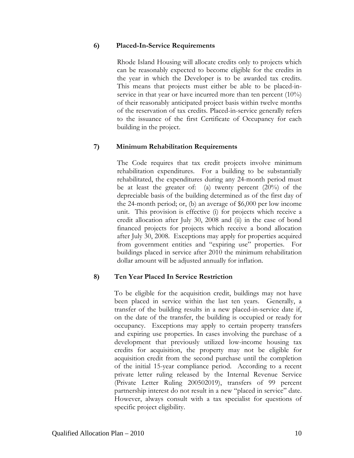#### **6) Placed-In-Service Requirements**

Rhode Island Housing will allocate credits only to projects which can be reasonably expected to become eligible for the credits in the year in which the Developer is to be awarded tax credits. This means that projects must either be able to be placed-inservice in that year or have incurred more than ten percent (10%) of their reasonably anticipated project basis within twelve months of the reservation of tax credits. Placed-in-service generally refers to the issuance of the first Certificate of Occupancy for each building in the project.

### **7) Minimum Rehabilitation Requirements**

The Code requires that tax credit projects involve minimum rehabilitation expenditures. For a building to be substantially rehabilitated, the expenditures during any 24-month period must be at least the greater of: (a) twenty percent (20%) of the depreciable basis of the building determined as of the first day of the 24-month period; or, (b) an average of \$6,000 per low income unit. This provision is effective (i) for projects which receive a credit allocation after July 30, 2008 and (ii) in the case of bond financed projects for projects which receive a bond allocation after July 30, 2008. Exceptions may apply for properties acquired from government entities and "expiring use" properties. For buildings placed in service after 2010 the minimum rehabilitation dollar amount will be adjusted annually for inflation.

### **8) Ten Year Placed In Service Restriction**

To be eligible for the acquisition credit, buildings may not have been placed in service within the last ten years. Generally, a transfer of the building results in a new placed-in-service date if, on the date of the transfer, the building is occupied or ready for occupancy. Exceptions may apply to certain property transfers and expiring use properties. In cases involving the purchase of a development that previously utilized low-income housing tax credits for acquisition, the property may not be eligible for acquisition credit from the second purchase until the completion of the initial 15-year compliance period. According to a recent private letter ruling released by the Internal Revenue Service (Private Letter Ruling 200502019), transfers of 99 percent partnership interest do not result in a new "placed in service" date. However, always consult with a tax specialist for questions of specific project eligibility.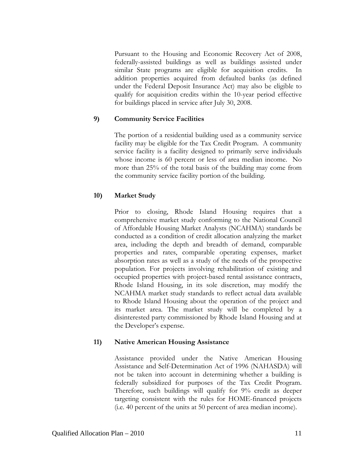Pursuant to the Housing and Economic Recovery Act of 2008, federally-assisted buildings as well as buildings assisted under similar State programs are eligible for acquisition credits. In addition properties acquired from defaulted banks (as defined under the Federal Deposit Insurance Act) may also be eligible to qualify for acquisition credits within the 10-year period effective for buildings placed in service after July 30, 2008.

#### **9) Community Service Facilities**

The portion of a residential building used as a community service facility may be eligible for the Tax Credit Program. A community service facility is a facility designed to primarily serve individuals whose income is 60 percent or less of area median income. No more than 25% of the total basis of the building may come from the community service facility portion of the building.

#### **10) Market Study**

Prior to closing, Rhode Island Housing requires that a comprehensive market study conforming to the National Council of Affordable Housing Market Analysts (NCAHMA) standards be conducted as a condition of credit allocation analyzing the market area, including the depth and breadth of demand, comparable properties and rates, comparable operating expenses, market absorption rates as well as a study of the needs of the prospective population. For projects involving rehabilitation of existing and occupied properties with project-based rental assistance contracts, Rhode Island Housing, in its sole discretion, may modify the NCAHMA market study standards to reflect actual data available to Rhode Island Housing about the operation of the project and its market area. The market study will be completed by a disinterested party commissioned by Rhode Island Housing and at the Developer's expense.

#### **11) Native American Housing Assistance**

Assistance provided under the Native American Housing Assistance and Self-Determination Act of 1996 (NAHASDA) will not be taken into account in determining whether a building is federally subsidized for purposes of the Tax Credit Program. Therefore, such buildings will qualify for 9% credit as deeper targeting consistent with the rules for HOME-financed projects (i.e. 40 percent of the units at 50 percent of area median income).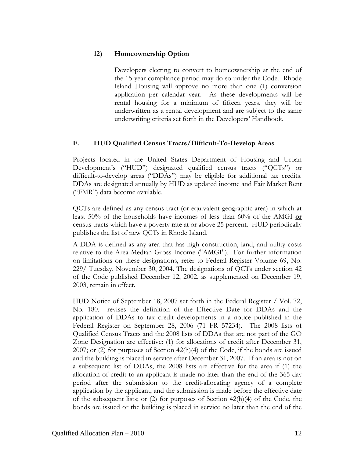# **12) Homeownership Option**

Developers electing to convert to homeownership at the end of the 15-year compliance period may do so under the Code. Rhode Island Housing will approve no more than one (1) conversion application per calendar year. As these developments will be rental housing for a minimum of fifteen years, they will be underwritten as a rental development and are subject to the same underwriting criteria set forth in the Developers' Handbook.

### **F. HUD Qualified Census Tracts/Difficult-To-Develop Areas**

Projects located in the United States Department of Housing and Urban Development's ("HUD") designated qualified census tracts ("QCTs") or difficult-to-develop areas ("DDAs") may be eligible for additional tax credits. DDAs are designated annually by HUD as updated income and Fair Market Rent ("FMR") data become available.

QCTs are defined as any census tract (or equivalent geographic area) in which at least 50% of the households have incomes of less than 60% of the AMGI **or** census tracts which have a poverty rate at or above 25 percent. HUD periodically publishes the list of new QCTs in Rhode Island.

A DDA is defined as any area that has high construction, land, and utility costs relative to the Area Median Gross Income ("AMGI"). For further information on limitations on these designations, refer to Federal Register Volume 69, No. 229/ Tuesday, November 30, 2004. The designations of QCTs under section 42 of the Code published December 12, 2002, as supplemented on December 19, 2003, remain in effect.

HUD Notice of September 18, 2007 set forth in the Federal Register / Vol. 72, No. 180. revises the definition of the Effective Date for DDAs and the application of DDAs to tax credit developments in a notice published in the Federal Register on September 28, 2006 (71 FR 57234). The 2008 lists of Qualified Census Tracts and the 2008 lists of DDAs that are not part of the GO Zone Designation are effective: (1) for allocations of credit after December 31, 2007; or (2) for purposes of Section 42(h)(4) of the Code, if the bonds are issued and the building is placed in service after December 31, 2007. If an area is not on a subsequent list of DDAs, the 2008 lists are effective for the area if (1) the allocation of credit to an applicant is made no later than the end of the 365-day period after the submission to the credit-allocating agency of a complete application by the applicant, and the submission is made before the effective date of the subsequent lists; or (2) for purposes of Section 42(h)(4) of the Code, the bonds are issued or the building is placed in service no later than the end of the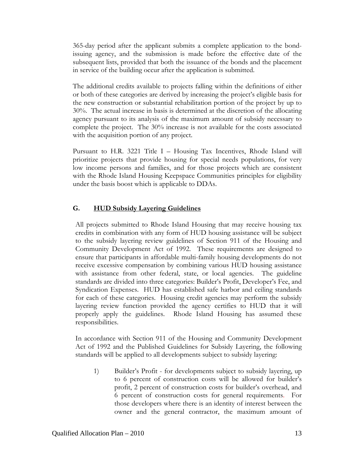365-day period after the applicant submits a complete application to the bondissuing agency, and the submission is made before the effective date of the subsequent lists, provided that both the issuance of the bonds and the placement in service of the building occur after the application is submitted.

The additional credits available to projects falling within the definitions of either or both of these categories are derived by increasing the project's eligible basis for the new construction or substantial rehabilitation portion of the project by up to 30%. The actual increase in basis is determined at the discretion of the allocating agency pursuant to its analysis of the maximum amount of subsidy necessary to complete the project. The 30% increase is not available for the costs associated with the acquisition portion of any project.

Pursuant to H.R. 3221 Title I – Housing Tax Incentives, Rhode Island will prioritize projects that provide housing for special needs populations, for very low income persons and families, and for those projects which are consistent with the Rhode Island Housing Keepspace Communities principles for eligibility under the basis boost which is applicable to DDAs.

# **G. HUD Subsidy Layering Guidelines**

All projects submitted to Rhode Island Housing that may receive housing tax credits in combination with any form of HUD housing assistance will be subject to the subsidy layering review guidelines of Section 911 of the Housing and Community Development Act of 1992. These requirements are designed to ensure that participants in affordable multi-family housing developments do not receive excessive compensation by combining various HUD housing assistance with assistance from other federal, state, or local agencies. The guideline standards are divided into three categories: Builder's Profit, Developer's Fee, and Syndication Expenses. HUD has established safe harbor and ceiling standards for each of these categories. Housing credit agencies may perform the subsidy layering review function provided the agency certifies to HUD that it will properly apply the guidelines. Rhode Island Housing has assumed these responsibilities.

In accordance with Section 911 of the Housing and Community Development Act of 1992 and the Published Guidelines for Subsidy Layering, the following standards will be applied to all developments subject to subsidy layering:

1) Builder's Profit - for developments subject to subsidy layering, up to 6 percent of construction costs will be allowed for builder's profit, 2 percent of construction costs for builder's overhead, and 6 percent of construction costs for general requirements. For those developers where there is an identity of interest between the owner and the general contractor, the maximum amount of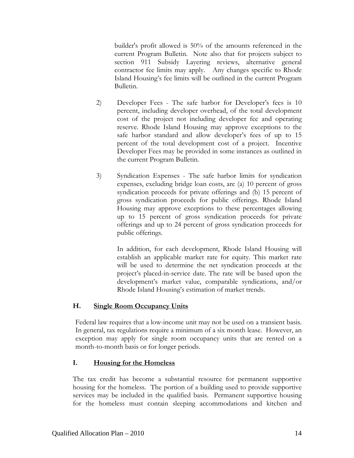builder's profit allowed is 50% of the amounts referenced in the current Program Bulletin. Note also that for projects subject to section 911 Subsidy Layering reviews, alternative general contractor fee limits may apply. Any changes specific to Rhode Island Housing's fee limits will be outlined in the current Program Bulletin.

- 2) Developer Fees The safe harbor for Developer's fees is 10 percent, including developer overhead, of the total development cost of the project not including developer fee and operating reserve. Rhode Island Housing may approve exceptions to the safe harbor standard and allow developer's fees of up to 15 percent of the total development cost of a project. Incentive Developer Fees may be provided in some instances as outlined in the current Program Bulletin.
- 3) Syndication Expenses The safe harbor limits for syndication expenses, excluding bridge loan costs, are (a) 10 percent of gross syndication proceeds for private offerings and (b) 15 percent of gross syndication proceeds for public offerings. Rhode Island Housing may approve exceptions to these percentages allowing up to 15 percent of gross syndication proceeds for private offerings and up to 24 percent of gross syndication proceeds for public offerings.

 In addition, for each development, Rhode Island Housing will establish an applicable market rate for equity. This market rate will be used to determine the net syndication proceeds at the project's placed-in-service date. The rate will be based upon the development's market value, comparable syndications, and/or Rhode Island Housing's estimation of market trends.

### **H. Single Room Occupancy Units**

Federal law requires that a low-income unit may not be used on a transient basis. In general, tax regulations require a minimum of a six month lease. However, an exception may apply for single room occupancy units that are rented on a month-to-month basis or for longer periods.

# **I. Housing for the Homeless**

The tax credit has become a substantial resource for permanent supportive housing for the homeless. The portion of a building used to provide supportive services may be included in the qualified basis. Permanent supportive housing for the homeless must contain sleeping accommodations and kitchen and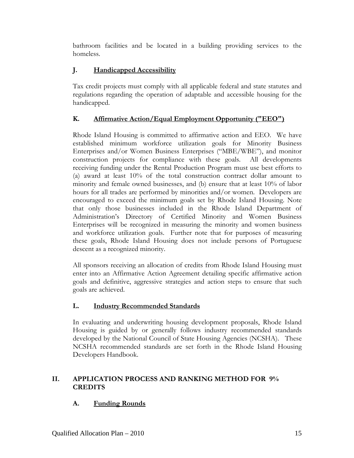bathroom facilities and be located in a building providing services to the homeless.

# **J. Handicapped Accessibility**

Tax credit projects must comply with all applicable federal and state statutes and regulations regarding the operation of adaptable and accessible housing for the handicapped.

# **K. Affirmative Action/Equal Employment Opportunity ("EEO")**

Rhode Island Housing is committed to affirmative action and EEO. We have established minimum workforce utilization goals for Minority Business Enterprises and/or Women Business Enterprises ("MBE/WBE"), and monitor construction projects for compliance with these goals. All developments receiving funding under the Rental Production Program must use best efforts to (a) award at least 10% of the total construction contract dollar amount to minority and female owned businesses, and (b) ensure that at least 10% of labor hours for all trades are performed by minorities and/or women. Developers are encouraged to exceed the minimum goals set by Rhode Island Housing. Note that only those businesses included in the Rhode Island Department of Administration's Directory of Certified Minority and Women Business Enterprises will be recognized in measuring the minority and women business and workforce utilization goals. Further note that for purposes of measuring these goals, Rhode Island Housing does not include persons of Portuguese descent as a recognized minority.

All sponsors receiving an allocation of credits from Rhode Island Housing must enter into an Affirmative Action Agreement detailing specific affirmative action goals and definitive, aggressive strategies and action steps to ensure that such goals are achieved.

# **L. Industry Recommended Standards**

In evaluating and underwriting housing development proposals, Rhode Island Housing is guided by or generally follows industry recommended standards developed by the National Council of State Housing Agencies (NCSHA). These NCSHA recommended standards are set forth in the Rhode Island Housing Developers Handbook.

# **II. APPLICATION PROCESS AND RANKING METHOD FOR 9% CREDITS**

# **A. Funding Rounds**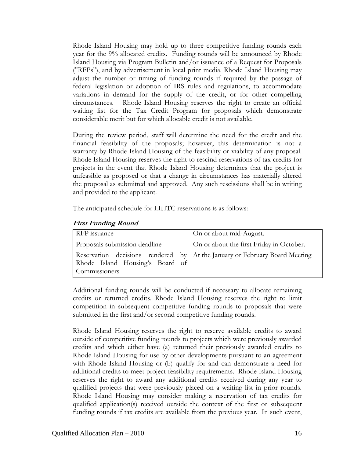Rhode Island Housing may hold up to three competitive funding rounds each year for the 9% allocated credits. Funding rounds will be announced by Rhode Island Housing via Program Bulletin and/or issuance of a Request for Proposals ("RFPs"), and by advertisement in local print media. Rhode Island Housing may adjust the number or timing of funding rounds if required by the passage of federal legislation or adoption of IRS rules and regulations, to accommodate variations in demand for the supply of the credit, or for other compelling circumstances. Rhode Island Housing reserves the right to create an official waiting list for the Tax Credit Program for proposals which demonstrate considerable merit but for which allocable credit is not available.

During the review period, staff will determine the need for the credit and the financial feasibility of the proposals; however, this determination is not a warranty by Rhode Island Housing of the feasibility or viability of any proposal. Rhode Island Housing reserves the right to rescind reservations of tax credits for projects in the event that Rhode Island Housing determines that the project is unfeasible as proposed or that a change in circumstances has materially altered the proposal as submitted and approved. Any such rescissions shall be in writing and provided to the applicant.

The anticipated schedule for LIHTC reservations is as follows:

| RFP issuance                                     | On or about mid-August.                                                      |
|--------------------------------------------------|------------------------------------------------------------------------------|
| Proposals submission deadline                    | On or about the first Friday in October.                                     |
| Rhode Island Housing's Board of<br>Commissioners | Reservation decisions rendered by   At the January or February Board Meeting |

#### **First Funding Round**

Additional funding rounds will be conducted if necessary to allocate remaining credits or returned credits. Rhode Island Housing reserves the right to limit competition in subsequent competitive funding rounds to proposals that were submitted in the first and/or second competitive funding rounds.

Rhode Island Housing reserves the right to reserve available credits to award outside of competitive funding rounds to projects which were previously awarded credits and which either have (a) returned their previously awarded credits to Rhode Island Housing for use by other developments pursuant to an agreement with Rhode Island Housing or (b) qualify for and can demonstrate a need for additional credits to meet project feasibility requirements. Rhode Island Housing reserves the right to award any additional credits received during any year to qualified projects that were previously placed on a waiting list in prior rounds. Rhode Island Housing may consider making a reservation of tax credits for qualified application(s) received outside the context of the first or subsequent funding rounds if tax credits are available from the previous year. In such event,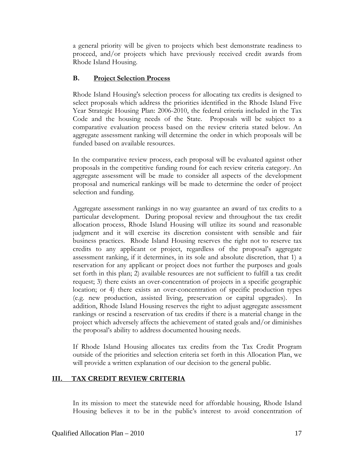a general priority will be given to projects which best demonstrate readiness to proceed, and/or projects which have previously received credit awards from Rhode Island Housing.

# **B. Project Selection Process**

Rhode Island Housing's selection process for allocating tax credits is designed to select proposals which address the priorities identified in the Rhode Island Five Year Strategic Housing Plan: 2006-2010, the federal criteria included in the Tax Code and the housing needs of the State. Proposals will be subject to a comparative evaluation process based on the review criteria stated below. An aggregate assessment ranking will determine the order in which proposals will be funded based on available resources.

In the comparative review process, each proposal will be evaluated against other proposals in the competitive funding round for each review criteria category. An aggregate assessment will be made to consider all aspects of the development proposal and numerical rankings will be made to determine the order of project selection and funding.

Aggregate assessment rankings in no way guarantee an award of tax credits to a particular development. During proposal review and throughout the tax credit allocation process, Rhode Island Housing will utilize its sound and reasonable judgment and it will exercise its discretion consistent with sensible and fair business practices. Rhode Island Housing reserves the right not to reserve tax credits to any applicant or project, regardless of the proposal's aggregate assessment ranking, if it determines, in its sole and absolute discretion, that 1) a reservation for any applicant or project does not further the purposes and goals set forth in this plan; 2) available resources are not sufficient to fulfill a tax credit request; 3) there exists an over-concentration of projects in a specific geographic location; or 4) there exists an over-concentration of specific production types (e.g. new production, assisted living, preservation or capital upgrades). In addition, Rhode Island Housing reserves the right to adjust aggregate assessment rankings or rescind a reservation of tax credits if there is a material change in the project which adversely affects the achievement of stated goals and/or diminishes the proposal's ability to address documented housing needs.

If Rhode Island Housing allocates tax credits from the Tax Credit Program outside of the priorities and selection criteria set forth in this Allocation Plan, we will provide a written explanation of our decision to the general public.

# **III. TAX CREDIT REVIEW CRITERIA**

In its mission to meet the statewide need for affordable housing, Rhode Island Housing believes it to be in the public's interest to avoid concentration of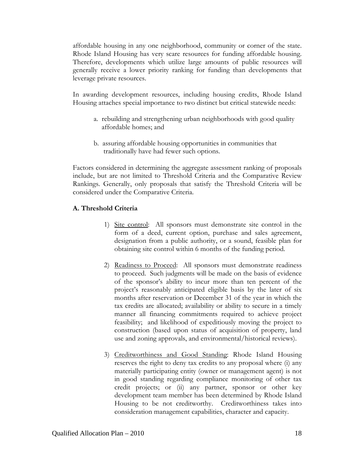affordable housing in any one neighborhood, community or corner of the state. Rhode Island Housing has very scare resources for funding affordable housing. Therefore, developments which utilize large amounts of public resources will generally receive a lower priority ranking for funding than developments that leverage private resources.

In awarding development resources, including housing credits, Rhode Island Housing attaches special importance to two distinct but critical statewide needs:

- a. rebuilding and strengthening urban neighborhoods with good quality affordable homes; and
- b. assuring affordable housing opportunities in communities that traditionally have had fewer such options.

Factors considered in determining the aggregate assessment ranking of proposals include, but are not limited to Threshold Criteria and the Comparative Review Rankings. Generally, only proposals that satisfy the Threshold Criteria will be considered under the Comparative Criteria.

# **A. Threshold Criteria**

- 1) Site control: All sponsors must demonstrate site control in the form of a deed, current option, purchase and sales agreement, designation from a public authority, or a sound, feasible plan for obtaining site control within 6 months of the funding period.
- 2) Readiness to Proceed: All sponsors must demonstrate readiness to proceed. Such judgments will be made on the basis of evidence of the sponsor's ability to incur more than ten percent of the project's reasonably anticipated eligible basis by the later of six months after reservation or December 31 of the year in which the tax credits are allocated; availability or ability to secure in a timely manner all financing commitments required to achieve project feasibility; and likelihood of expeditiously moving the project to construction (based upon status of acquisition of property, land use and zoning approvals, and environmental/historical reviews).
- 3) Creditworthiness and Good Standing: Rhode Island Housing reserves the right to deny tax credits to any proposal where (i) any materially participating entity (owner or management agent) is not in good standing regarding compliance monitoring of other tax credit projects; or (ii) any partner, sponsor or other key development team member has been determined by Rhode Island Housing to be not creditworthy. Creditworthiness takes into consideration management capabilities, character and capacity.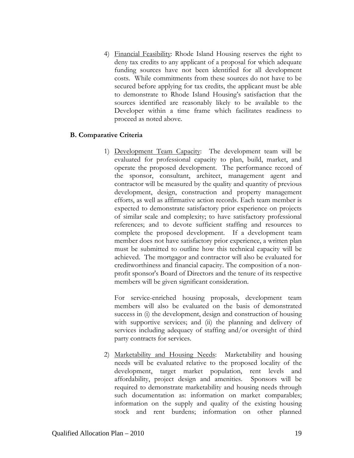4) Financial Feasibility: Rhode Island Housing reserves the right to deny tax credits to any applicant of a proposal for which adequate funding sources have not been identified for all development costs. While commitments from these sources do not have to be secured before applying for tax credits, the applicant must be able to demonstrate to Rhode Island Housing's satisfaction that the sources identified are reasonably likely to be available to the Developer within a time frame which facilitates readiness to proceed as noted above.

### **B. Comparative Criteria**

1) Development Team Capacity: The development team will be evaluated for professional capacity to plan, build, market, and operate the proposed development. The performance record of the sponsor, consultant, architect, management agent and contractor will be measured by the quality and quantity of previous development, design, construction and property management efforts, as well as affirmative action records. Each team member is expected to demonstrate satisfactory prior experience on projects of similar scale and complexity; to have satisfactory professional references; and to devote sufficient staffing and resources to complete the proposed development. If a development team member does not have satisfactory prior experience, a written plan must be submitted to outline how this technical capacity will be achieved. The mortgagor and contractor will also be evaluated for creditworthiness and financial capacity. The composition of a nonprofit sponsor's Board of Directors and the tenure of its respective members will be given significant consideration.

For service-enriched housing proposals, development team members will also be evaluated on the basis of demonstrated success in (i) the development, design and construction of housing with supportive services; and (ii) the planning and delivery of services including adequacy of staffing and/or oversight of third party contracts for services.

2) Marketability and Housing Needs: Marketability and housing needs will be evaluated relative to the proposed locality of the development, target market population, rent levels and affordability, project design and amenities. Sponsors will be required to demonstrate marketability and housing needs through such documentation as: information on market comparables; information on the supply and quality of the existing housing stock and rent burdens; information on other planned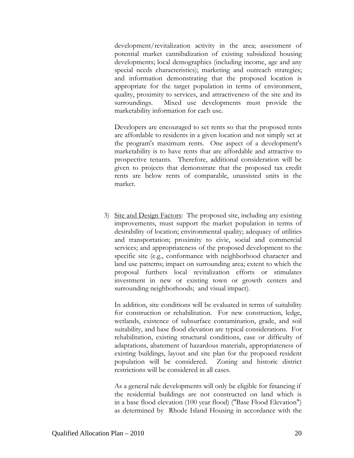development/revitalization activity in the area; assessment of potential market cannibalization of existing subsidized housing developments; local demographics (including income, age and any special needs characteristics); marketing and outreach strategies; and information demonstrating that the proposed location is appropriate for the target population in terms of environment, quality, proximity to services, and attractiveness of the site and its surroundings. Mixed use developments must provide the marketability information for each use.

Developers are encouraged to set rents so that the proposed rents are affordable to residents in a given location and not simply set at the program's maximum rents. One aspect of a development's marketability is to have rents that are affordable and attractive to prospective tenants. Therefore, additional consideration will be given to projects that demonstrate that the proposed tax credit rents are below rents of comparable, unassisted units in the market.

3) Site and Design Factors: The proposed site, including any existing improvements, must support the market population in terms of desirability of location; environmental quality; adequacy of utilities and transportation; proximity to civic, social and commercial services; and appropriateness of the proposed development to the specific site (e.g., conformance with neighborhood character and land use patterns; impact on surrounding area; extent to which the proposal furthers local revitalization efforts or stimulates investment in new or existing town or growth centers and surrounding neighborhoods; and visual impact).

 In addition, site conditions will be evaluated in terms of suitability for construction or rehabilitation. For new construction, ledge, wetlands, existence of subsurface contamination, grade, and soil suitability, and base flood elevation are typical considerations. For rehabilitation, existing structural conditions, ease or difficulty of adaptations, abatement of hazardous materials, appropriateness of existing buildings, layout and site plan for the proposed resident population will be considered. Zoning and historic district restrictions will be considered in all cases.

As a general rule developments will only be eligible for financing if the residential buildings are not constructed on land which is in a base flood elevation (100 year flood) ("Base Flood Elevation") as determined by Rhode Island Housing in accordance with the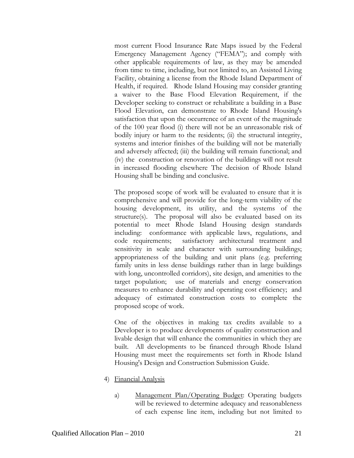most current Flood Insurance Rate Maps issued by the Federal Emergency Management Agency ("FEMA"); and comply with other applicable requirements of law, as they may be amended from time to time, including, but not limited to, an Assisted Living Facility, obtaining a license from the Rhode Island Department of Health, if required. Rhode Island Housing may consider granting a waiver to the Base Flood Elevation Requirement, if the Developer seeking to construct or rehabilitate a building in a Base Flood Elevation, can demonstrate to Rhode Island Housing's satisfaction that upon the occurrence of an event of the magnitude of the 100 year flood (i) there will not be an unreasonable risk of bodily injury or harm to the residents; (ii) the structural integrity, systems and interior finishes of the building will not be materially and adversely affected; (iii) the building will remain functional; and (iv) the construction or renovation of the buildings will not result in increased flooding elsewhere The decision of Rhode Island Housing shall be binding and conclusive.

The proposed scope of work will be evaluated to ensure that it is comprehensive and will provide for the long-term viability of the housing development, its utility, and the systems of the structure(s). The proposal will also be evaluated based on its potential to meet Rhode Island Housing design standards including: conformance with applicable laws, regulations, and code requirements; satisfactory architectural treatment and sensitivity in scale and character with surrounding buildings; appropriateness of the building and unit plans (e.g. preferring family units in less dense buildings rather than in large buildings with long, uncontrolled corridors), site design, and amenities to the target population; use of materials and energy conservation measures to enhance durability and operating cost efficiency; and adequacy of estimated construction costs to complete the proposed scope of work.

One of the objectives in making tax credits available to a Developer is to produce developments of quality construction and livable design that will enhance the communities in which they are built. All developments to be financed through Rhode Island Housing must meet the requirements set forth in Rhode Island Housing's Design and Construction Submission Guide.

- 4) Financial Analysis
	- a) Management Plan/Operating Budget: Operating budgets will be reviewed to determine adequacy and reasonableness of each expense line item, including but not limited to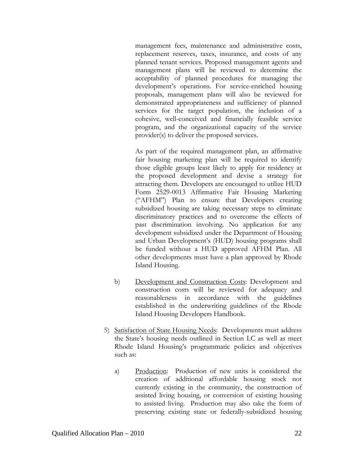management fees, maintenance and administrative costs, replacement reserves, taxes, insurance, and costs of any planned tenant services. Proposed management agents and management plans will be reviewed to determine the acceptability of planned procedures for managing the development's operations. For service-enriched housing proposals, management plans will also be reviewed for demonstrated appropriateness and sufficiency of planned services for the target population, the inclusion of a cohesive, well-conceived and financially feasible service program, and the organizational capacity of the service provider(s) to deliver the proposed services.

As part of the required management plan, an affirmative fair housing marketing plan will be required to identify those eligible groups least likely to apply for residency at the proposed development and devise a strategy for attracting them. Developers are encouraged to utilize HUD Form 2529-0013 Affirmative Fair Housing Marketing ("AFHM") Plan to ensure that Developers creating subsidized housing are taking necessary steps to eliminate discriminatory practices and to overcome the effects of past discrimination involving. No application for any development subsidized under the Department of Housing and Urban Development's (HUD) housing programs shall be funded without a HUD approved AFHM Plan. All other developments must have a plan approved by Rhode Island Housing.

- b) Development and Construction Costs: Development and construction costs will be reviewed for adequacy and reasonableness in accordance with the guidelines established in the underwriting guidelines of the Rhode Island Housing Developers Handbook.
- 5) Satisfaction of State Housing Needs: Developments must address the State's housing needs outlined in Section I.C as well as meet Rhode Island Housing's programmatic policies and objectives such as:
	- a) Production: Production of new units is considered the creation of additional affordable housing stock not currently existing in the community, the construction of assisted living housing, or conversion of existing housing to assisted living. Production may also take the form of preserving existing state or federally-subsidized housing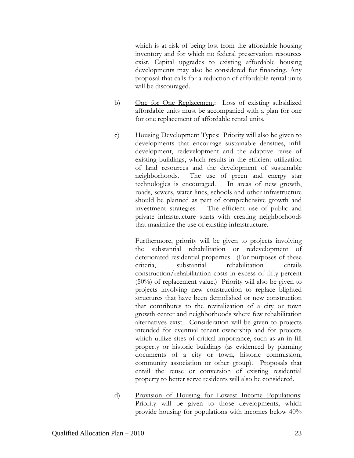which is at risk of being lost from the affordable housing inventory and for which no federal preservation resources exist. Capital upgrades to existing affordable housing developments may also be considered for financing. Any proposal that calls for a reduction of affordable rental units will be discouraged.

- b) One for One Replacement: Loss of existing subsidized affordable units must be accompanied with a plan for one for one replacement of affordable rental units.
- c) Housing Development Types: Priority will also be given to developments that encourage sustainable densities, infill development, redevelopment and the adaptive reuse of existing buildings, which results in the efficient utilization of land resources and the development of sustainable neighborhoods. The use of green and energy star technologies is encouraged. In areas of new growth, roads, sewers, water lines, schools and other infrastructure should be planned as part of comprehensive growth and investment strategies. The efficient use of public and private infrastructure starts with creating neighborhoods that maximize the use of existing infrastructure.

 Furthermore, priority will be given to projects involving the substantial rehabilitation or redevelopment of deteriorated residential properties. (For purposes of these criteria, substantial rehabilitation entails construction/rehabilitation costs in excess of fifty percent (50%) of replacement value.) Priority will also be given to projects involving new construction to replace blighted structures that have been demolished or new construction that contributes to the revitalization of a city or town growth center and neighborhoods where few rehabilitation alternatives exist. Consideration will be given to projects intended for eventual tenant ownership and for projects which utilize sites of critical importance, such as an in-fill property or historic buildings (as evidenced by planning documents of a city or town, historic commission, community association or other group). Proposals that entail the reuse or conversion of existing residential property to better serve residents will also be considered.

d) Provision of Housing for Lowest Income Populations: Priority will be given to those developments, which provide housing for populations with incomes below 40%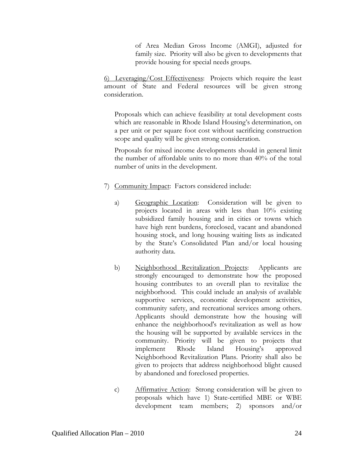of Area Median Gross Income (AMGI), adjusted for family size. Priority will also be given to developments that provide housing for special needs groups.

6) Leveraging/Cost Effectiveness: Projects which require the least amount of State and Federal resources will be given strong consideration.

Proposals which can achieve feasibility at total development costs which are reasonable in Rhode Island Housing's determination, on a per unit or per square foot cost without sacrificing construction scope and quality will be given strong consideration.

Proposals for mixed income developments should in general limit the number of affordable units to no more than 40% of the total number of units in the development.

- 7) Community Impact: Factors considered include:
	- a) Geographic Location: Consideration will be given to projects located in areas with less than 10% existing subsidized family housing and in cities or towns which have high rent burdens, foreclosed, vacant and abandoned housing stock, and long housing waiting lists as indicated by the State's Consolidated Plan and/or local housing authority data.
	- b) Neighborhood Revitalization Projects: Applicants are strongly encouraged to demonstrate how the proposed housing contributes to an overall plan to revitalize the neighborhood. This could include an analysis of available supportive services, economic development activities, community safety, and recreational services among others. Applicants should demonstrate how the housing will enhance the neighborhood's revitalization as well as how the housing will be supported by available services in the community. Priority will be given to projects that implement Rhode Island Housing's approved Neighborhood Revitalization Plans. Priority shall also be given to projects that address neighborhood blight caused by abandoned and foreclosed properties.
	- c) Affirmative Action: Strong consideration will be given to proposals which have 1) State-certified MBE or WBE development team members; 2) sponsors and/or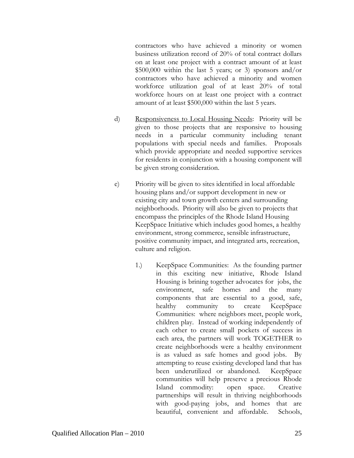contractors who have achieved a minority or women business utilization record of 20% of total contract dollars on at least one project with a contract amount of at least  $$500,000$  within the last 5 years; or 3) sponsors and/or contractors who have achieved a minority and women workforce utilization goal of at least 20% of total workforce hours on at least one project with a contract amount of at least \$500,000 within the last 5 years.

- d) Responsiveness to Local Housing Needs: Priority will be given to those projects that are responsive to housing needs in a particular community including tenant populations with special needs and families. Proposals which provide appropriate and needed supportive services for residents in conjunction with a housing component will be given strong consideration.
- e) Priority will be given to sites identified in local affordable housing plans and/or support development in new or existing city and town growth centers and surrounding neighborhoods. Priority will also be given to projects that encompass the principles of the Rhode Island Housing KeepSpace Initiative which includes good homes, a healthy environment, strong commerce, sensible infrastructure, positive community impact, and integrated arts, recreation, culture and religion.
	- 1.) KeepSpace Communities: As the founding partner in this exciting new initiative, Rhode Island Housing is brining together advocates for jobs, the environment, safe homes and the many components that are essential to a good, safe, healthy community to create KeepSpace Communities: where neighbors meet, people work, children play. Instead of working independently of each other to create small pockets of success in each area, the partners will work TOGETHER to create neighborhoods were a healthy environment is as valued as safe homes and good jobs. By attempting to reuse existing developed land that has been underutilized or abandoned. KeepSpace communities will help preserve a precious Rhode Island commodity: open space. Creative partnerships will result in thriving neighborhoods with good-paying jobs, and homes that are beautiful, convenient and affordable. Schools,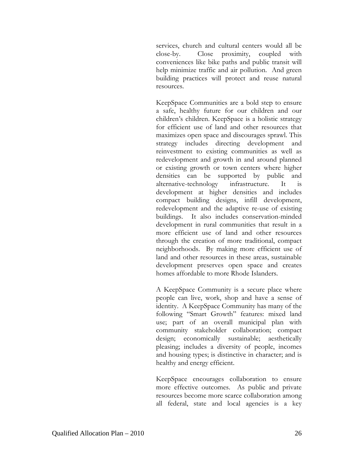services, church and cultural centers would all be close-by. Close proximity, coupled with conveniences like bike paths and public transit will help minimize traffic and air pollution. And green building practices will protect and reuse natural resources.

KeepSpace Communities are a bold step to ensure a safe, healthy future for our children and our children's children. KeepSpace is a holistic strategy for efficient use of land and other resources that maximizes open space and discourages sprawl. This strategy includes directing development and reinvestment to existing communities as well as redevelopment and growth in and around planned or existing growth or town centers where higher densities can be supported by public and alternative-technology infrastructure. It is development at higher densities and includes compact building designs, infill development, redevelopment and the adaptive re-use of existing buildings. It also includes conservation-minded development in rural communities that result in a more efficient use of land and other resources through the creation of more traditional, compact neighborhoods. By making more efficient use of land and other resources in these areas, sustainable development preserves open space and creates homes affordable to more Rhode Islanders.

A KeepSpace Community is a secure place where people can live, work, shop and have a sense of identity. A KeepSpace Community has many of the following "Smart Growth" features: mixed land use; part of an overall municipal plan with community stakeholder collaboration; compact design; economically sustainable; aesthetically pleasing; includes a diversity of people, incomes and housing types; is distinctive in character; and is healthy and energy efficient.

KeepSpace encourages collaboration to ensure more effective outcomes. As public and private resources become more scarce collaboration among all federal, state and local agencies is a key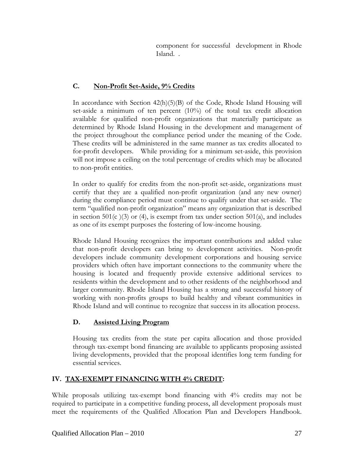component for successful development in Rhode Island. .

# **C. Non-Profit Set-Aside, 9% Credits**

In accordance with Section 42(h)(5)(B) of the Code, Rhode Island Housing will set-aside a minimum of ten percent  $(10\%)$  of the total tax credit allocation available for qualified non-profit organizations that materially participate as determined by Rhode Island Housing in the development and management of the project throughout the compliance period under the meaning of the Code. These credits will be administered in the same manner as tax credits allocated to for-profit developers. While providing for a minimum set-aside, this provision will not impose a ceiling on the total percentage of credits which may be allocated to non-profit entities.

In order to qualify for credits from the non-profit set-aside, organizations must certify that they are a qualified non-profit organization (and any new owner) during the compliance period must continue to qualify under that set-aside. The term "qualified non-profit organization" means any organization that is described in section  $501(c)(3)$  or (4), is exempt from tax under section  $501(a)$ , and includes as one of its exempt purposes the fostering of low-income housing.

Rhode Island Housing recognizes the important contributions and added value that non-profit developers can bring to development activities. Non-profit developers include community development corporations and housing service providers which often have important connections to the community where the housing is located and frequently provide extensive additional services to residents within the development and to other residents of the neighborhood and larger community. Rhode Island Housing has a strong and successful history of working with non-profits groups to build healthy and vibrant communities in Rhode Island and will continue to recognize that success in its allocation process.

# **D. Assisted Living Program**

Housing tax credits from the state per capita allocation and those provided through tax-exempt bond financing are available to applicants proposing assisted living developments, provided that the proposal identifies long term funding for essential services.

# **IV. TAX-EXEMPT FINANCING WITH 4% CREDIT:**

While proposals utilizing tax-exempt bond financing with 4% credits may not be required to participate in a competitive funding process, all development proposals must meet the requirements of the Qualified Allocation Plan and Developers Handbook.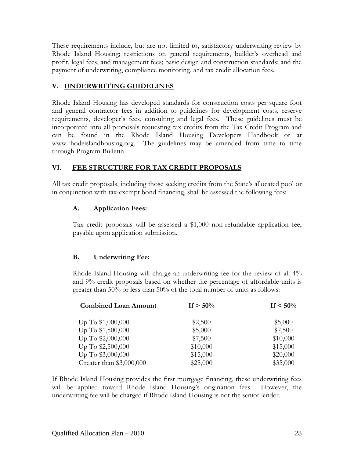These requirements include, but are not limited to, satisfactory underwriting review by Rhode Island Housing; restrictions on general requirements, builder's overhead and profit, legal fees, and management fees; basic design and construction standards; and the payment of underwriting, compliance monitoring, and tax credit allocation fees.

# **V. UNDERWRITING GUIDELINES**

Rhode Island Housing has developed standards for construction costs per square foot and general contractor fees in addition to guidelines for development costs, reserve requirements, developer's fees, consulting and legal fees. These guidelines must be incorporated into all proposals requesting tax credits from the Tax Credit Program and can be found in the Rhode Island Housing Developers Handbook or at www.rhodeislandhousing.org. The guidelines may be amended from time to time through Program Bulletin.

# **VI. FEE STRUCTURE FOR TAX CREDIT PROPOSALS**

All tax credit proposals, including those seeking credits from the State's allocated pool or in conjunction with tax-exempt bond financing, shall be assessed the following fees:

# **A. Application Fees:**

Tax credit proposals will be assessed a \$1,000 non-refundable application fee, payable upon application submission.

# **B. Underwriting Fee:**

Rhode Island Housing will charge an underwriting fee for the review of all 4% and 9% credit proposals based on whether the percentage of affordable units is greater than 50% or less than 50% of the total number of units as follows:

| <b>Combined Loan Amount</b>            | If $> 50\%$         | If $< 50\%$          |
|----------------------------------------|---------------------|----------------------|
| Up To \$1,000,000                      | \$2,500             | \$5,000              |
| Up To \$1,500,000                      | \$5,000             | \$7,500              |
| Up To \$2,000,000<br>Up To \$2,500,000 | \$7,500<br>\$10,000 | \$10,000<br>\$15,000 |
|                                        |                     |                      |
| Greater than \$3,000,000               | \$25,000            | \$35,000             |

If Rhode Island Housing provides the first mortgage financing, these underwriting fees will be applied toward Rhode Island Housing's origination fees. However, the underwriting fee will be charged if Rhode Island Housing is not the senior lender.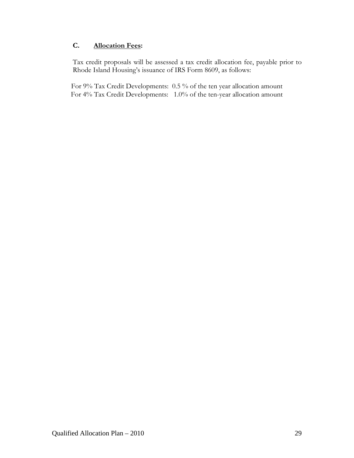# **C. Allocation Fees:**

Tax credit proposals will be assessed a tax credit allocation fee, payable prior to Rhode Island Housing's issuance of IRS Form 8609, as follows:

For 9% Tax Credit Developments: 0.5 % of the ten year allocation amount For 4% Tax Credit Developments: 1.0% of the ten-year allocation amount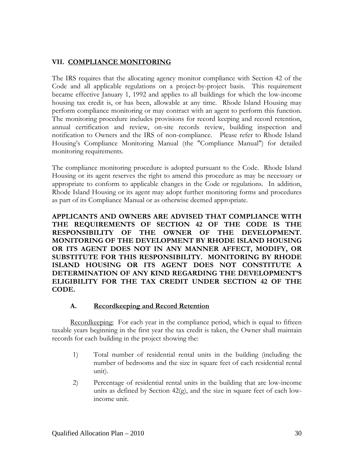# **VII. COMPLIANCE MONITORING**

The IRS requires that the allocating agency monitor compliance with Section 42 of the Code and all applicable regulations on a project-by-project basis. This requirement became effective January 1, 1992 and applies to all buildings for which the low-income housing tax credit is, or has been, allowable at any time. Rhode Island Housing may perform compliance monitoring or may contract with an agent to perform this function. The monitoring procedure includes provisions for record keeping and record retention, annual certification and review, on-site records review, building inspection and notification to Owners and the IRS of non-compliance. Please refer to Rhode Island Housing's Compliance Monitoring Manual (the "Compliance Manual") for detailed monitoring requirements.

The compliance monitoring procedure is adopted pursuant to the Code. Rhode Island Housing or its agent reserves the right to amend this procedure as may be necessary or appropriate to conform to applicable changes in the Code or regulations. In addition, Rhode Island Housing or its agent may adopt further monitoring forms and procedures as part of its Compliance Manual or as otherwise deemed appropriate.

**APPLICANTS AND OWNERS ARE ADVISED THAT COMPLIANCE WITH THE REQUIREMENTS OF SECTION 42 OF THE CODE IS THE RESPONSIBILITY OF THE OWNER OF THE DEVELOPMENT. MONITORING OF THE DEVELOPMENT BY RHODE ISLAND HOUSING OR ITS AGENT DOES NOT IN ANY MANNER AFFECT, MODIFY, OR SUBSTITUTE FOR THIS RESPONSIBILITY. MONITORING BY RHODE ISLAND HOUSING OR ITS AGENT DOES NOT CONSTITUTE A DETERMINATION OF ANY KIND REGARDING THE DEVELOPMENT'S ELIGIBILITY FOR THE TAX CREDIT UNDER SECTION 42 OF THE CODE.** 

#### **A. Recordkeeping and Record Retention**

Recordkeeping: For each year in the compliance period, which is equal to fifteen taxable years beginning in the first year the tax credit is taken, the Owner shall maintain records for each building in the project showing the:

- 1) Total number of residential rental units in the building (including the number of bedrooms and the size in square feet of each residential rental unit).
- 2) Percentage of residential rental units in the building that are low-income units as defined by Section 42(g), and the size in square feet of each lowincome unit.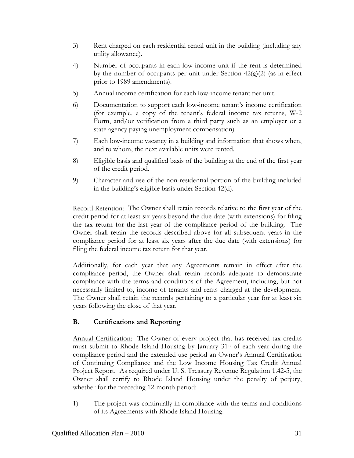- 3) Rent charged on each residential rental unit in the building (including any utility allowance).
- 4) Number of occupants in each low-income unit if the rent is determined by the number of occupants per unit under Section  $42(g)(2)$  (as in effect prior to 1989 amendments).
- 5) Annual income certification for each low-income tenant per unit.
- 6) Documentation to support each low-income tenant's income certification (for example, a copy of the tenant's federal income tax returns, W-2 Form, and/or verification from a third party such as an employer or a state agency paying unemployment compensation).
- 7) Each low-income vacancy in a building and information that shows when, and to whom, the next available units were rented.
- 8) Eligible basis and qualified basis of the building at the end of the first year of the credit period.
- 9) Character and use of the non-residential portion of the building included in the building's eligible basis under Section 42(d).

Record Retention: The Owner shall retain records relative to the first year of the credit period for at least six years beyond the due date (with extensions) for filing the tax return for the last year of the compliance period of the building. The Owner shall retain the records described above for all subsequent years in the compliance period for at least six years after the due date (with extensions) for filing the federal income tax return for that year.

Additionally, for each year that any Agreements remain in effect after the compliance period, the Owner shall retain records adequate to demonstrate compliance with the terms and conditions of the Agreement, including, but not necessarily limited to, income of tenants and rents charged at the development. The Owner shall retain the records pertaining to a particular year for at least six years following the close of that year.

# **B. Certifications and Reporting**

Annual Certification: The Owner of every project that has received tax credits must submit to Rhode Island Housing by January 31st of each year during the compliance period and the extended use period an Owner's Annual Certification of Continuing Compliance and the Low Income Housing Tax Credit Annual Project Report. As required under U. S. Treasury Revenue Regulation 1.42-5, the Owner shall certify to Rhode Island Housing under the penalty of perjury, whether for the preceding 12-month period:

1) The project was continually in compliance with the terms and conditions of its Agreements with Rhode Island Housing.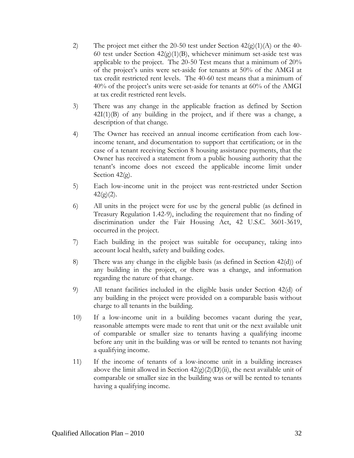- 2) The project met either the 20-50 test under Section  $42\langle g \rangle(1)(A)$  or the 40-60 test under Section  $42(g)(1)(B)$ , whichever minimum set-aside test was applicable to the project. The 20-50 Test means that a minimum of 20% of the project's units were set-aside for tenants at 50% of the AMGI at tax credit restricted rent levels. The 40-60 test means that a minimum of 40% of the project's units were set-aside for tenants at 60% of the AMGI at tax credit restricted rent levels.
- 3) There was any change in the applicable fraction as defined by Section  $42I(1)(B)$  of any building in the project, and if there was a change, a description of that change.
- 4) The Owner has received an annual income certification from each lowincome tenant, and documentation to support that certification; or in the case of a tenant receiving Section 8 housing assistance payments, that the Owner has received a statement from a public housing authority that the tenant's income does not exceed the applicable income limit under Section 42(g).
- 5) Each low-income unit in the project was rent-restricted under Section  $42(g)(2)$ .
- 6) All units in the project were for use by the general public (as defined in Treasury Regulation 1.42-9), including the requirement that no finding of discrimination under the Fair Housing Act, 42 U.S.C. 3601-3619, occurred in the project.
- 7) Each building in the project was suitable for occupancy, taking into account local health, safety and building codes.
- 8) There was any change in the eligible basis (as defined in Section 42(d)) of any building in the project, or there was a change, and information regarding the nature of that change.
- 9) All tenant facilities included in the eligible basis under Section 42(d) of any building in the project were provided on a comparable basis without charge to all tenants in the building.
- 10) If a low-income unit in a building becomes vacant during the year, reasonable attempts were made to rent that unit or the next available unit of comparable or smaller size to tenants having a qualifying income before any unit in the building was or will be rented to tenants not having a qualifying income.
- 11) If the income of tenants of a low-income unit in a building increases above the limit allowed in Section  $42(g)(2)(D)(ii)$ , the next available unit of comparable or smaller size in the building was or will be rented to tenants having a qualifying income.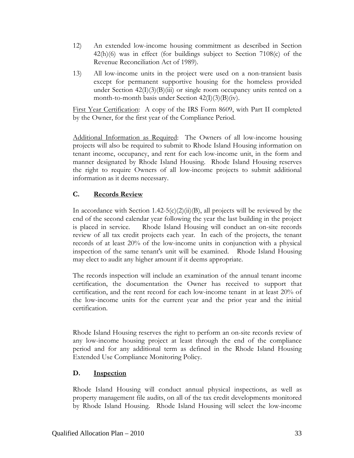- 12) An extended low-income housing commitment as described in Section 42(h)(6) was in effect (for buildings subject to Section 7108(c) of the Revenue Reconciliation Act of 1989).
- 13) All low-income units in the project were used on a non-transient basis except for permanent supportive housing for the homeless provided under Section  $42(I)(3)(B)(iii)$  or single room occupancy units rented on a month-to-month basis under Section  $42(I)(3)(B)(iv)$ .

First Year Certification: A copy of the IRS Form 8609, with Part II completed by the Owner, for the first year of the Compliance Period.

Additional Information as Required: The Owners of all low-income housing projects will also be required to submit to Rhode Island Housing information on tenant income, occupancy, and rent for each low-income unit, in the form and manner designated by Rhode Island Housing. Rhode Island Housing reserves the right to require Owners of all low-income projects to submit additional information as it deems necessary.

# **C. Records Review**

In accordance with Section 1.42-5(c)(2)(ii)(B), all projects will be reviewed by the end of the second calendar year following the year the last building in the project is placed in service. Rhode Island Housing will conduct an on-site records review of all tax credit projects each year. In each of the projects, the tenant records of at least 20% of the low-income units in conjunction with a physical inspection of the same tenant's unit will be examined. Rhode Island Housing may elect to audit any higher amount if it deems appropriate.

The records inspection will include an examination of the annual tenant income certification, the documentation the Owner has received to support that certification, and the rent record for each low-income tenant in at least 20% of the low-income units for the current year and the prior year and the initial certification.

Rhode Island Housing reserves the right to perform an on-site records review of any low-income housing project at least through the end of the compliance period and for any additional term as defined in the Rhode Island Housing Extended Use Compliance Monitoring Policy.

# **D. Inspection**

Rhode Island Housing will conduct annual physical inspections, as well as property management file audits, on all of the tax credit developments monitored by Rhode Island Housing. Rhode Island Housing will select the low-income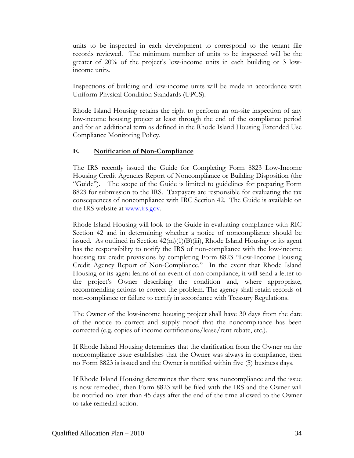units to be inspected in each development to correspond to the tenant file records reviewed. The minimum number of units to be inspected will be the greater of 20% of the project's low-income units in each building or 3 lowincome units.

Inspections of building and low-income units will be made in accordance with Uniform Physical Condition Standards (UPCS).

Rhode Island Housing retains the right to perform an on-site inspection of any low-income housing project at least through the end of the compliance period and for an additional term as defined in the Rhode Island Housing Extended Use Compliance Monitoring Policy.

# **E. Notification of Non-Compliance**

The IRS recently issued the Guide for Completing Form 8823 Low-Income Housing Credit Agencies Report of Noncompliance or Building Disposition (the "Guide"). The scope of the Guide is limited to guidelines for preparing Form 8823 for submission to the IRS. Taxpayers are responsible for evaluating the tax consequences of noncompliance with IRC Section 42. The Guide is available on the IRS website at [www.irs.gov.](http://www.irs.gov/)

Rhode Island Housing will look to the Guide in evaluating compliance with RIC Section 42 and in determining whether a notice of noncompliance should be issued. As outlined in Section 42(m)(1)(B)(iii), Rhode Island Housing or its agent has the responsibility to notify the IRS of non-compliance with the low-income housing tax credit provisions by completing Form 8823 "Low-Income Housing Credit Agency Report of Non-Compliance." In the event that Rhode Island Housing or its agent learns of an event of non-compliance, it will send a letter to the project's Owner describing the condition and, where appropriate, recommending actions to correct the problem. The agency shall retain records of non-compliance or failure to certify in accordance with Treasury Regulations.

The Owner of the low-income housing project shall have 30 days from the date of the notice to correct and supply proof that the noncompliance has been corrected (e.g. copies of income certifications/lease/rent rebate, etc.).

If Rhode Island Housing determines that the clarification from the Owner on the noncompliance issue establishes that the Owner was always in compliance, then no Form 8823 is issued and the Owner is notified within five (5) business days.

If Rhode Island Housing determines that there was noncompliance and the issue is now remedied, then Form 8823 will be filed with the IRS and the Owner will be notified no later than 45 days after the end of the time allowed to the Owner to take remedial action.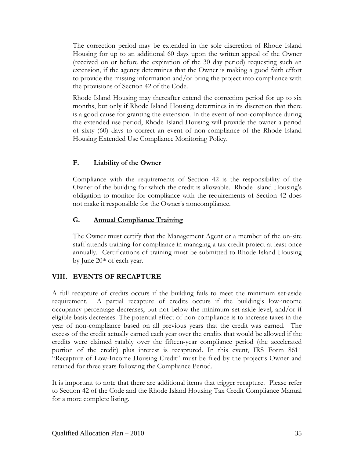The correction period may be extended in the sole discretion of Rhode Island Housing for up to an additional 60 days upon the written appeal of the Owner (received on or before the expiration of the 30 day period) requesting such an extension, if the agency determines that the Owner is making a good faith effort to provide the missing information and/or bring the project into compliance with the provisions of Section 42 of the Code.

Rhode Island Housing may thereafter extend the correction period for up to six months, but only if Rhode Island Housing determines in its discretion that there is a good cause for granting the extension. In the event of non-compliance during the extended use period, Rhode Island Housing will provide the owner a period of sixty (60) days to correct an event of non-compliance of the Rhode Island Housing Extended Use Compliance Monitoring Policy.

# **F. Liability of the Owner**

Compliance with the requirements of Section 42 is the responsibility of the Owner of the building for which the credit is allowable. Rhode Island Housing's obligation to monitor for compliance with the requirements of Section 42 does not make it responsible for the Owner's noncompliance.

# **G. Annual Compliance Training**

The Owner must certify that the Management Agent or a member of the on-site staff attends training for compliance in managing a tax credit project at least once annually. Certifications of training must be submitted to Rhode Island Housing by June 20<sup>th</sup> of each year.

# **VIII. EVENTS OF RECAPTURE**

A full recapture of credits occurs if the building fails to meet the minimum set-aside requirement. A partial recapture of credits occurs if the building's low-income occupancy percentage decreases, but not below the minimum set-aside level, and/or if eligible basis decreases. The potential effect of non-compliance is to increase taxes in the year of non-compliance based on all previous years that the credit was earned. The excess of the credit actually earned each year over the credits that would be allowed if the credits were claimed ratably over the fifteen-year compliance period (the accelerated portion of the credit) plus interest is recaptured. In this event, IRS Form 8611 "Recapture of Low-Income Housing Credit" must be filed by the project's Owner and retained for three years following the Compliance Period.

It is important to note that there are additional items that trigger recapture. Please refer to Section 42 of the Code and the Rhode Island Housing Tax Credit Compliance Manual for a more complete listing.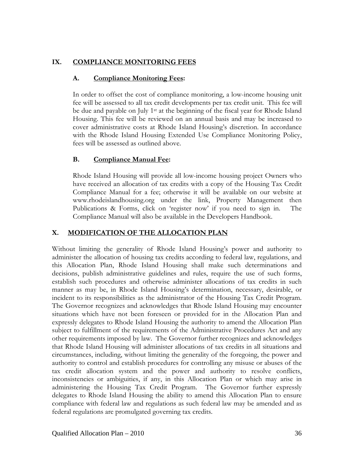# **IX. COMPLIANCE MONITORING FEES**

# **A. Compliance Monitoring Fees:**

In order to offset the cost of compliance monitoring, a low-income housing unit fee will be assessed to all tax credit developments per tax credit unit. This fee will be due and payable on July 1<sup>st</sup> at the beginning of the fiscal year for Rhode Island Housing. This fee will be reviewed on an annual basis and may be increased to cover administrative costs at Rhode Island Housing's discretion. In accordance with the Rhode Island Housing Extended Use Compliance Monitoring Policy, fees will be assessed as outlined above.

# **B. Compliance Manual Fee:**

Rhode Island Housing will provide all low-income housing project Owners who have received an allocation of tax credits with a copy of the Housing Tax Credit Compliance Manual for a fee; otherwise it will be available on our website at www.rhodeislandhousing.org under the link, Property Management then Publications & Forms, click on 'register now' if you need to sign in. The Compliance Manual will also be available in the Developers Handbook.

# **X. MODIFICATION OF THE ALLOCATION PLAN**

Without limiting the generality of Rhode Island Housing's power and authority to administer the allocation of housing tax credits according to federal law, regulations, and this Allocation Plan, Rhode Island Housing shall make such determinations and decisions, publish administrative guidelines and rules, require the use of such forms, establish such procedures and otherwise administer allocations of tax credits in such manner as may be, in Rhode Island Housing's determination, necessary, desirable, or incident to its responsibilities as the administrator of the Housing Tax Credit Program. The Governor recognizes and acknowledges that Rhode Island Housing may encounter situations which have not been foreseen or provided for in the Allocation Plan and expressly delegates to Rhode Island Housing the authority to amend the Allocation Plan subject to fulfillment of the requirements of the Administrative Procedures Act and any other requirements imposed by law. The Governor further recognizes and acknowledges that Rhode Island Housing will administer allocations of tax credits in all situations and circumstances, including, without limiting the generality of the foregoing, the power and authority to control and establish procedures for controlling any misuse or abuses of the tax credit allocation system and the power and authority to resolve conflicts, inconsistencies or ambiguities, if any, in this Allocation Plan or which may arise in administering the Housing Tax Credit Program. The Governor further expressly delegates to Rhode Island Housing the ability to amend this Allocation Plan to ensure compliance with federal law and regulations as such federal law may be amended and as federal regulations are promulgated governing tax credits.